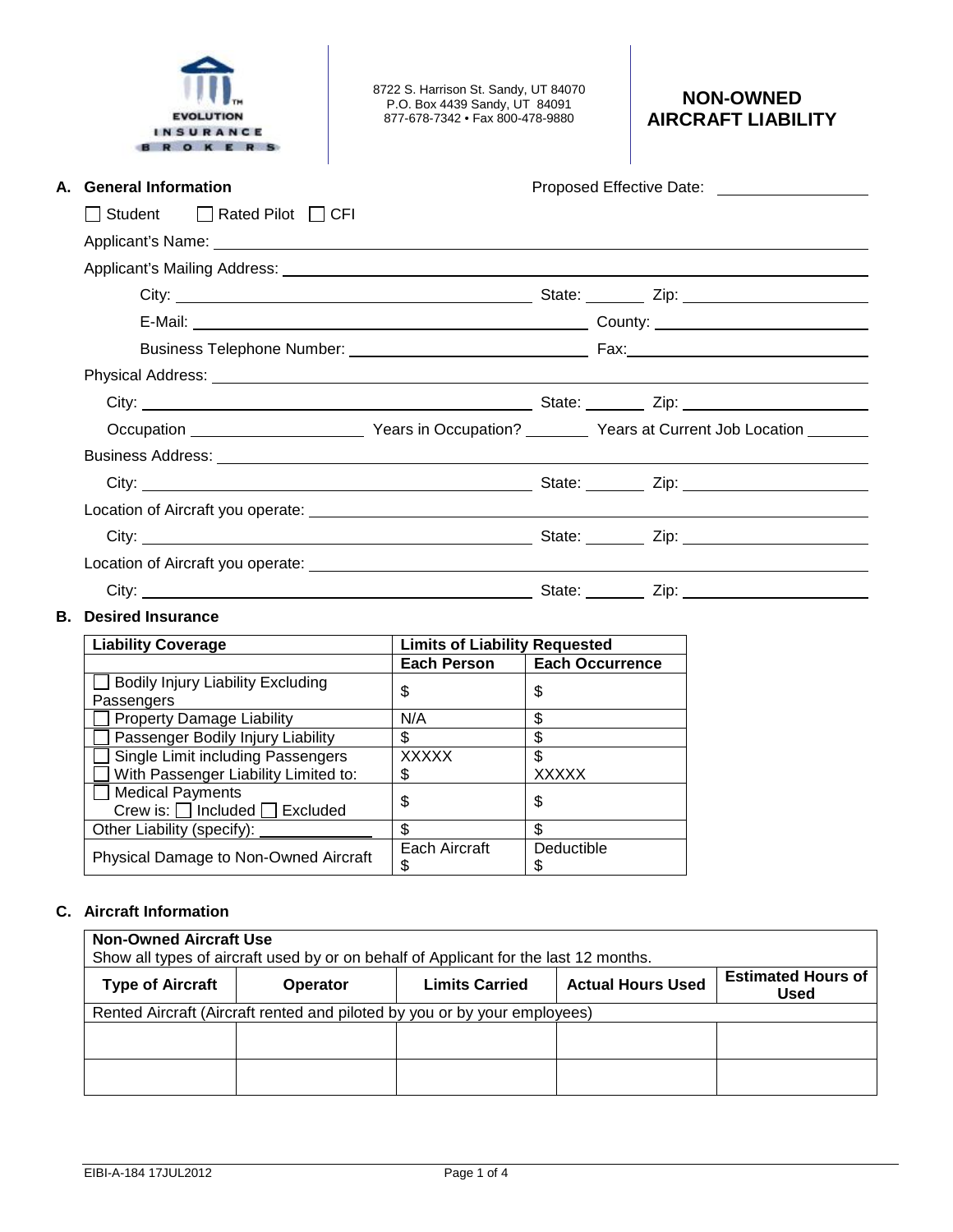| <b>INSURANCE</b><br>OKER         | 8722 S. Harrison St. Sandy, UT 84070<br>P.O. Box 4439 Sandy, UT 84091<br>877-678-7342 • Fax 800-478-9880                                                                                                                       | <b>NON-OWNED</b><br><b>AIRCRAFT LIABILITY</b> |
|----------------------------------|--------------------------------------------------------------------------------------------------------------------------------------------------------------------------------------------------------------------------------|-----------------------------------------------|
| A. General Information           |                                                                                                                                                                                                                                | Proposed Effective Date: <u>[1988]</u>        |
| l Student<br>  Rated Pilot   CFI |                                                                                                                                                                                                                                |                                               |
|                                  | Applicant's Name: the contract of the contract of the contract of the contract of the contract of the contract of the contract of the contract of the contract of the contract of the contract of the contract of the contract |                                               |
|                                  |                                                                                                                                                                                                                                |                                               |
|                                  |                                                                                                                                                                                                                                |                                               |
|                                  |                                                                                                                                                                                                                                |                                               |
|                                  |                                                                                                                                                                                                                                |                                               |
|                                  |                                                                                                                                                                                                                                |                                               |
|                                  |                                                                                                                                                                                                                                |                                               |
|                                  |                                                                                                                                                                                                                                |                                               |
|                                  |                                                                                                                                                                                                                                |                                               |
|                                  |                                                                                                                                                                                                                                |                                               |
|                                  |                                                                                                                                                                                                                                |                                               |
|                                  |                                                                                                                                                                                                                                |                                               |
|                                  |                                                                                                                                                                                                                                |                                               |
|                                  |                                                                                                                                                                                                                                |                                               |

| <b>Liability Coverage</b>                                           | <b>Limits of Liability Requested</b> |                        |
|---------------------------------------------------------------------|--------------------------------------|------------------------|
|                                                                     | <b>Each Person</b>                   | <b>Each Occurrence</b> |
| <b>Bodily Injury Liability Excluding</b><br>Passengers              | \$                                   | \$                     |
| <b>Property Damage Liability</b>                                    | N/A                                  | \$                     |
| Passenger Bodily Injury Liability                                   | \$                                   | \$                     |
| Single Limit including Passengers                                   | <b>XXXXX</b>                         | \$                     |
| With Passenger Liability Limited to:                                | \$                                   | <b>XXXXX</b>           |
| <b>Medical Payments</b><br>Crew is: $\Box$ Included $\Box$ Excluded | \$                                   | \$                     |
| Other Liability (specify):                                          | \$                                   | \$                     |
| Physical Damage to Non-Owned Aircraft                               | Each Aircraft<br>\$                  | Deductible<br>\$       |

## **C. Aircraft Information**

| <b>Non-Owned Aircraft Use</b><br>Show all types of aircraft used by or on behalf of Applicant for the last 12 months.                       |                                                                           |  |  |  |  |  |  |  |
|---------------------------------------------------------------------------------------------------------------------------------------------|---------------------------------------------------------------------------|--|--|--|--|--|--|--|
| <b>Estimated Hours of</b><br><b>Actual Hours Used</b><br><b>Limits Carried</b><br><b>Type of Aircraft</b><br><b>Operator</b><br><b>Used</b> |                                                                           |  |  |  |  |  |  |  |
|                                                                                                                                             | Rented Aircraft (Aircraft rented and piloted by you or by your employees) |  |  |  |  |  |  |  |
|                                                                                                                                             |                                                                           |  |  |  |  |  |  |  |
|                                                                                                                                             |                                                                           |  |  |  |  |  |  |  |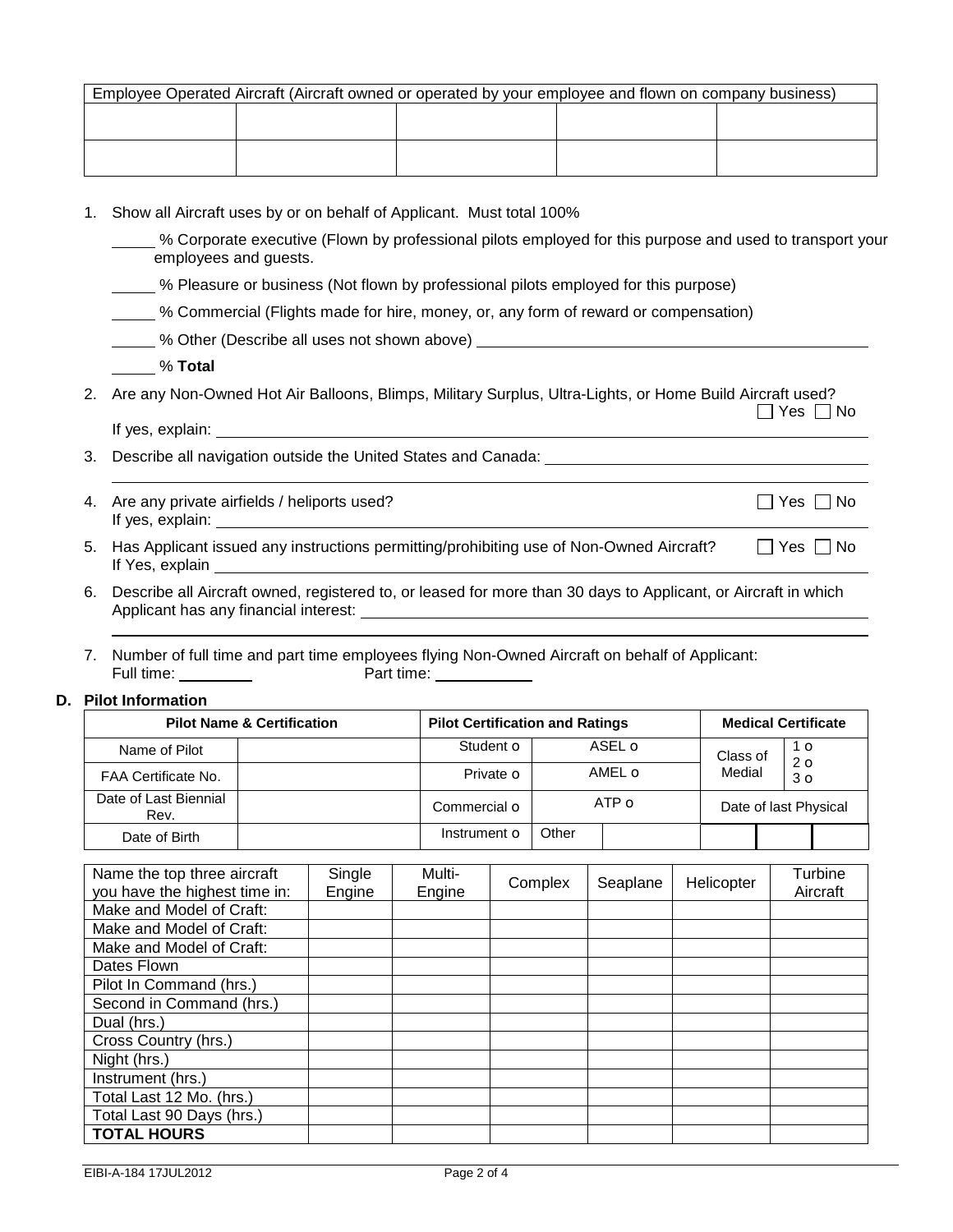| Employee Operated Aircraft (Aircraft owned or operated by your employee and flown on company business) |  |  |  |  |  |  |  |
|--------------------------------------------------------------------------------------------------------|--|--|--|--|--|--|--|
|                                                                                                        |  |  |  |  |  |  |  |
|                                                                                                        |  |  |  |  |  |  |  |
|                                                                                                        |  |  |  |  |  |  |  |
|                                                                                                        |  |  |  |  |  |  |  |

1. Show all Aircraft uses by or on behalf of Applicant. Must total 100%

 % Corporate executive (Flown by professional pilots employed for this purpose and used to transport your employees and guests.

% Pleasure or business (Not flown by professional pilots employed for this purpose)

% Commercial (Flights made for hire, money, or, any form of reward or compensation)

|  |  |  |  | % Other (Describe all uses not shown above) |  |
|--|--|--|--|---------------------------------------------|--|
|--|--|--|--|---------------------------------------------|--|

% **Total**

2. Are any Non-Owned Hot Air Balloons, Blimps, Military Surplus, Ultra-Lights, or Home Build Aircraft used?  $\Box$  Yes  $\Box$  No

| If yes, explain: |  |  |
|------------------|--|--|
|                  |  |  |

- 3. Describe all navigation outside the United States and Canada:
- 4. Are any private airfields / heliports used?  $\Box$  Yes  $\Box$  No If yes, explain:
- 5. Has Applicant issued any instructions permitting/prohibiting use of Non-Owned Aircraft?  $\Box$  Yes  $\Box$  No If Yes, explain \_
- 6. Describe all Aircraft owned, registered to, or leased for more than 30 days to Applicant, or Aircraft in which Applicant has any financial interest:
- 7. Number of full time and part time employees flying Non-Owned Aircraft on behalf of Applicant: Full time: Part time:

## **D. Pilot Information**

| <b>Pilot Name &amp; Certification</b> |  | <b>Pilot Certification and Ratings</b> |        |        | <b>Medical Certificate</b> |                               |                  |  |
|---------------------------------------|--|----------------------------------------|--------|--------|----------------------------|-------------------------------|------------------|--|
| Name of Pilot                         |  | Student o                              |        | ASEL O | Class of                   |                               | 1 O<br>$2\sigma$ |  |
| <b>FAA Certificate No.</b>            |  | Private o                              | AMEL O | Medial |                            | $\overline{3}$ $\overline{0}$ |                  |  |
| Date of Last Biennial<br>Rev.         |  | Commercial o                           | ATP O  |        | Date of last Physical      |                               |                  |  |
| Date of Birth                         |  | Instrument o                           | Other  |        |                            |                               |                  |  |

| Name the top three aircraft<br>you have the highest time in: | Single<br>Engine | Multi-<br>Engine | Complex | Seaplane | Helicopter | Turbine<br>Aircraft |
|--------------------------------------------------------------|------------------|------------------|---------|----------|------------|---------------------|
| Make and Model of Craft:                                     |                  |                  |         |          |            |                     |
| Make and Model of Craft:                                     |                  |                  |         |          |            |                     |
| Make and Model of Craft:                                     |                  |                  |         |          |            |                     |
| Dates Flown                                                  |                  |                  |         |          |            |                     |
| Pilot In Command (hrs.)                                      |                  |                  |         |          |            |                     |
| Second in Command (hrs.)                                     |                  |                  |         |          |            |                     |
| Dual (hrs.)                                                  |                  |                  |         |          |            |                     |
| Cross Country (hrs.)                                         |                  |                  |         |          |            |                     |
| Night (hrs.)                                                 |                  |                  |         |          |            |                     |
| Instrument (hrs.)                                            |                  |                  |         |          |            |                     |
| Total Last 12 Mo. (hrs.)                                     |                  |                  |         |          |            |                     |
| Total Last 90 Days (hrs.)                                    |                  |                  |         |          |            |                     |
| <b>TOTAL HOURS</b>                                           |                  |                  |         |          |            |                     |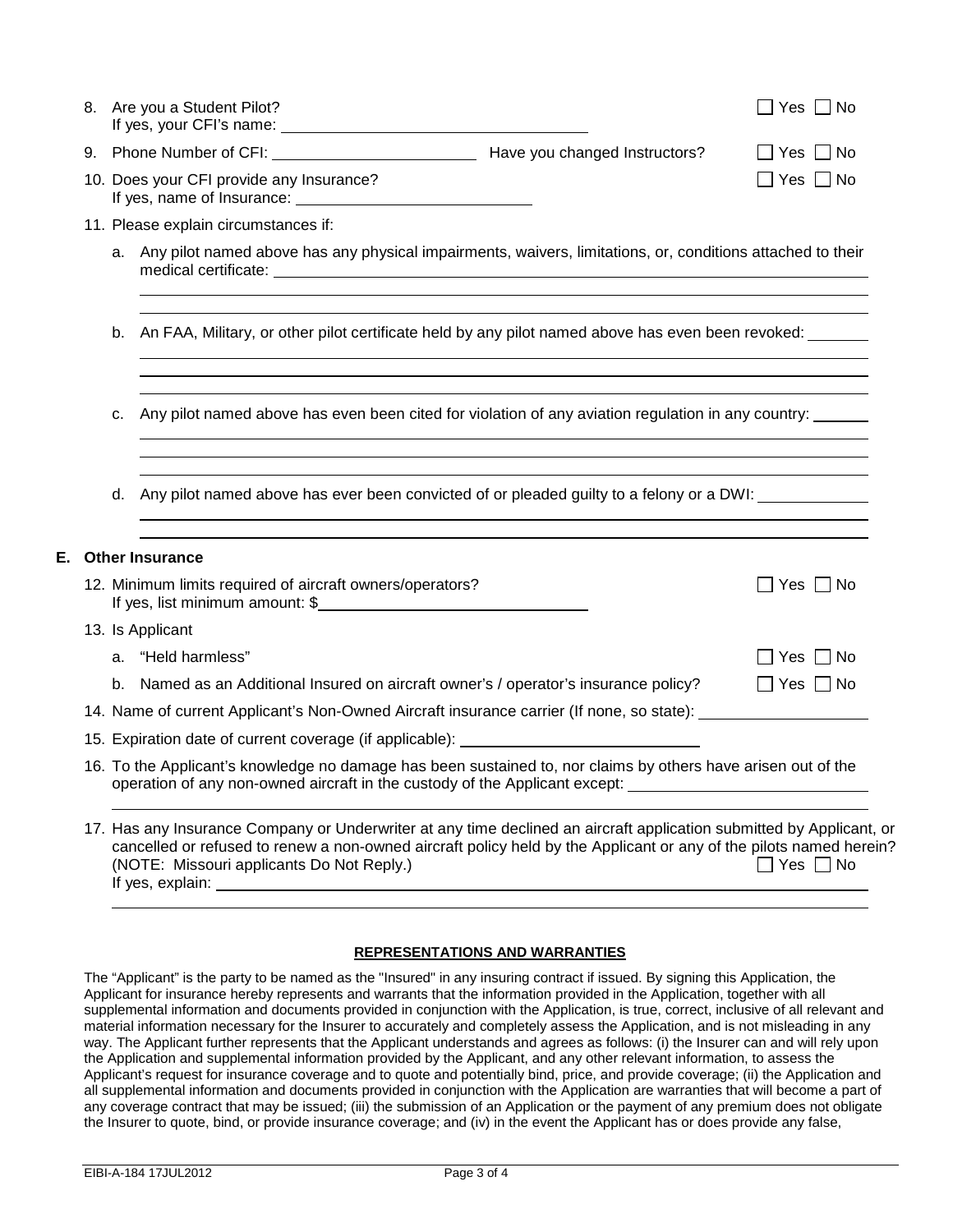|    |    | 8. Are you a Student Pilot?                                                                                                                                                                                           | ⊃ Yes □ No           |
|----|----|-----------------------------------------------------------------------------------------------------------------------------------------------------------------------------------------------------------------------|----------------------|
|    |    |                                                                                                                                                                                                                       | $\Box$ Yes $\Box$ No |
|    |    | 10. Does your CFI provide any Insurance?                                                                                                                                                                              | _  Yes   _  No       |
|    |    | 11. Please explain circumstances if:                                                                                                                                                                                  |                      |
|    |    | a. Any pilot named above has any physical impairments, waivers, limitations, or, conditions attached to their                                                                                                         |                      |
|    | b. | An FAA, Military, or other pilot certificate held by any pilot named above has even been revoked:                                                                                                                     |                      |
|    | C. | Any pilot named above has even been cited for violation of any aviation regulation in any country: ______                                                                                                             |                      |
|    | d. | Any pilot named above has ever been convicted of or pleaded guilty to a felony or a DWI:                                                                                                                              |                      |
|    |    |                                                                                                                                                                                                                       |                      |
| Е. |    | <b>Other Insurance</b>                                                                                                                                                                                                |                      |
|    |    | 12. Minimum limits required of aircraft owners/operators?<br>If yes, list minimum amount: \$                                                                                                                          | Yes     No           |
|    |    | 13. Is Applicant                                                                                                                                                                                                      |                      |
|    |    | a. "Held harmless"                                                                                                                                                                                                    | $\Box$ Yes $\Box$ No |
|    |    | b. Named as an Additional Insured on aircraft owner's / operator's insurance policy?                                                                                                                                  | $\Box$ Yes $\Box$ No |
|    |    | 14. Name of current Applicant's Non-Owned Aircraft insurance carrier (If none, so state):                                                                                                                             |                      |
|    |    | 15. Expiration date of current coverage (if applicable): _______________________                                                                                                                                      |                      |
|    |    | 16. To the Applicant's knowledge no damage has been sustained to, nor claims by others have arisen out of the<br>operation of any non-owned aircraft in the custody of the Applicant except: ________________________ |                      |
|    |    | 17. Has any Insurance Company or Underwriter at any time declined an aircraft application submitted by Applicant                                                                                                      |                      |

| 17. Has any Insurance Company or Underwriter at any time declined an aircraft application submitted by Applicant, or |                      |
|----------------------------------------------------------------------------------------------------------------------|----------------------|
| cancelled or refused to renew a non-owned aircraft policy held by the Applicant or any of the pilots named herein?   |                      |
| (NOTE: Missouri applicants Do Not Reply.)                                                                            | $\Box$ Yes $\Box$ No |
| If yes, explain:                                                                                                     |                      |

## **REPRESENTATIONS AND WARRANTIES**

The "Applicant" is the party to be named as the "Insured" in any insuring contract if issued. By signing this Application, the Applicant for insurance hereby represents and warrants that the information provided in the Application, together with all supplemental information and documents provided in conjunction with the Application, is true, correct, inclusive of all relevant and material information necessary for the Insurer to accurately and completely assess the Application, and is not misleading in any way. The Applicant further represents that the Applicant understands and agrees as follows: (i) the Insurer can and will rely upon the Application and supplemental information provided by the Applicant, and any other relevant information, to assess the Applicant's request for insurance coverage and to quote and potentially bind, price, and provide coverage; (ii) the Application and all supplemental information and documents provided in conjunction with the Application are warranties that will become a part of any coverage contract that may be issued; (iii) the submission of an Application or the payment of any premium does not obligate the Insurer to quote, bind, or provide insurance coverage; and (iv) in the event the Applicant has or does provide any false,